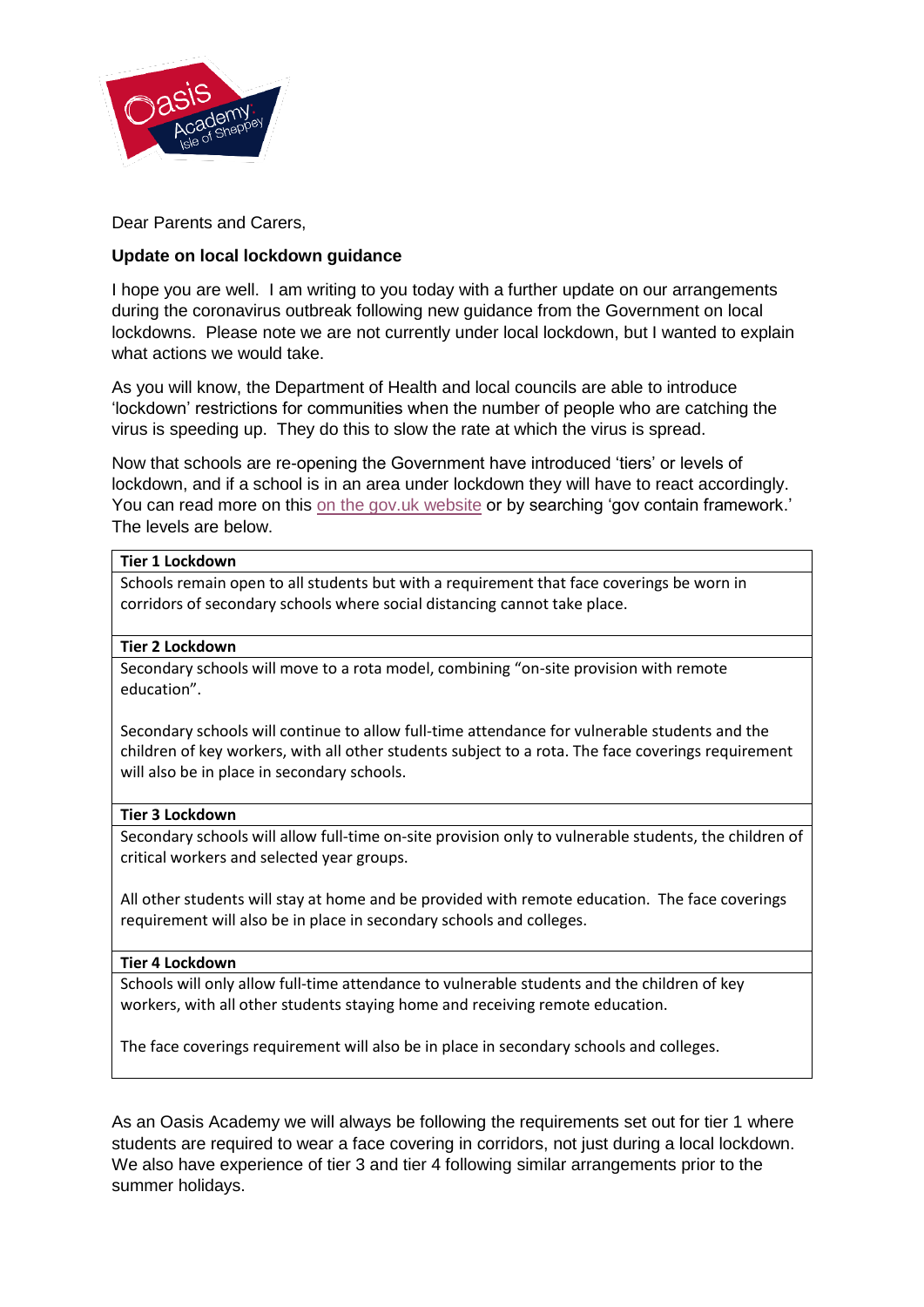

Dear Parents and Carers,

# **Update on local lockdown guidance**

I hope you are well. I am writing to you today with a further update on our arrangements during the coronavirus outbreak following new guidance from the Government on local lockdowns. Please note we are not currently under local lockdown, but I wanted to explain what actions we would take.

As you will know, the Department of Health and local councils are able to introduce 'lockdown' restrictions for communities when the number of people who are catching the virus is speeding up. They do this to slow the rate at which the virus is spread.

Now that schools are re-opening the Government have introduced 'tiers' or levels of lockdown, and if a school is in an area under lockdown they will have to react accordingly. You can read more on this [on the gov.uk website](https://www.gov.uk/government/publications/containing-and-managing-local-coronavirus-covid-19-outbreaks/covid-19-contain-framework-a-guide-for-local-decision-makers) or by searching 'gov contain framework.' The levels are below.

## **Tier 1 Lockdown**

Schools remain open to all students but with a requirement that face coverings be worn in corridors of secondary schools where social distancing cannot take place.

## **Tier 2 Lockdown**

Secondary schools will move to a rota model, combining "on-site provision with remote education".

Secondary schools will continue to allow full-time attendance for vulnerable students and the children of key workers, with all other students subject to a rota. The face coverings requirement will also be in place in secondary schools.

#### **Tier 3 Lockdown**

Secondary schools will allow full-time on-site provision only to vulnerable students, the children of critical workers and selected year groups.

All other students will stay at home and be provided with remote education. The face coverings requirement will also be in place in secondary schools and colleges.

#### **Tier 4 Lockdown**

Schools will only allow full-time attendance to vulnerable students and the children of key workers, with all other students staying home and receiving remote education.

The face coverings requirement will also be in place in secondary schools and colleges.

As an Oasis Academy we will always be following the requirements set out for tier 1 where students are required to wear a face covering in corridors, not just during a local lockdown. We also have experience of tier 3 and tier 4 following similar arrangements prior to the summer holidays.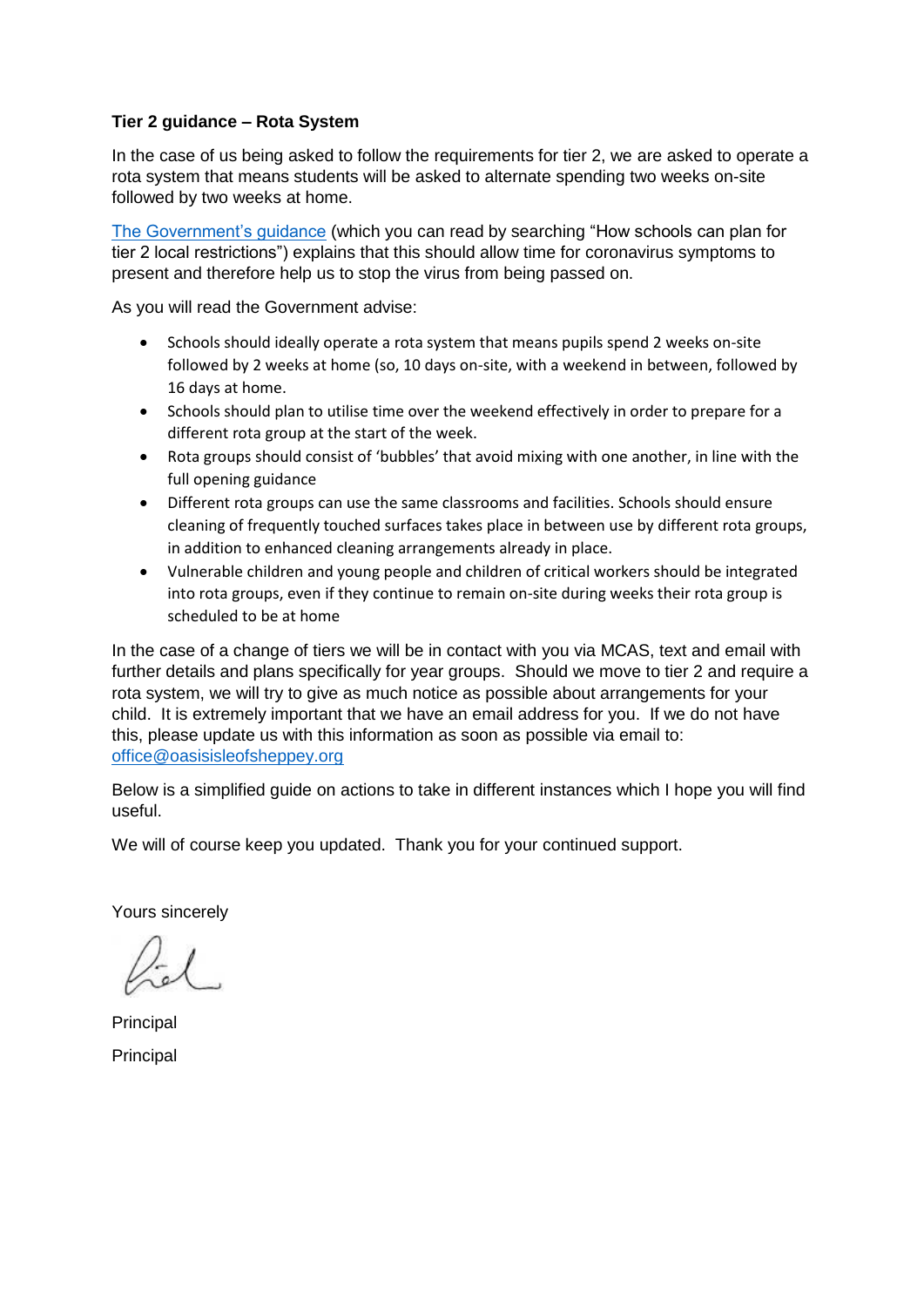# **Tier 2 guidance – Rota System**

In the case of us being asked to follow the requirements for tier 2, we are asked to operate a rota system that means students will be asked to alternate spending two weeks on-site followed by two weeks at home.

[The Government's guidance](https://www.gov.uk/government/publications/how-schools-can-plan-for-tier-2-local-restrictions/how-schools-can-plan-for-tier-2-local-restrictions) (which you can read by searching "How schools can plan for tier 2 local restrictions") explains that this should allow time for coronavirus symptoms to present and therefore help us to stop the virus from being passed on.

As you will read the Government advise:

- Schools should ideally operate a rota system that means pupils spend 2 weeks on-site followed by 2 weeks at home (so, 10 days on-site, with a weekend in between, followed by 16 days at home.
- Schools should plan to utilise time over the weekend effectively in order to prepare for a different rota group at the start of the week.
- Rota groups should consist of 'bubbles' that avoid mixing with one another, in line with the full opening guidance
- Different rota groups can use the same classrooms and facilities. Schools should ensure cleaning of frequently touched surfaces takes place in between use by different rota groups, in addition to enhanced cleaning arrangements already in place.
- Vulnerable children and young people and children of critical workers should be integrated into rota groups, even if they continue to remain on-site during weeks their rota group is scheduled to be at home

In the case of a change of tiers we will be in contact with you via MCAS, text and email with further details and plans specifically for year groups. Should we move to tier 2 and require a rota system, we will try to give as much notice as possible about arrangements for your child. It is extremely important that we have an email address for you. If we do not have this, please update us with this information as soon as possible via email to: [office@oasisisleofsheppey.org](mailto:office@oasisisleofsheppey.org) 

Below is a simplified guide on actions to take in different instances which I hope you will find useful.

We will of course keep you updated. Thank you for your continued support.

Yours sincerely

Principal **Principal**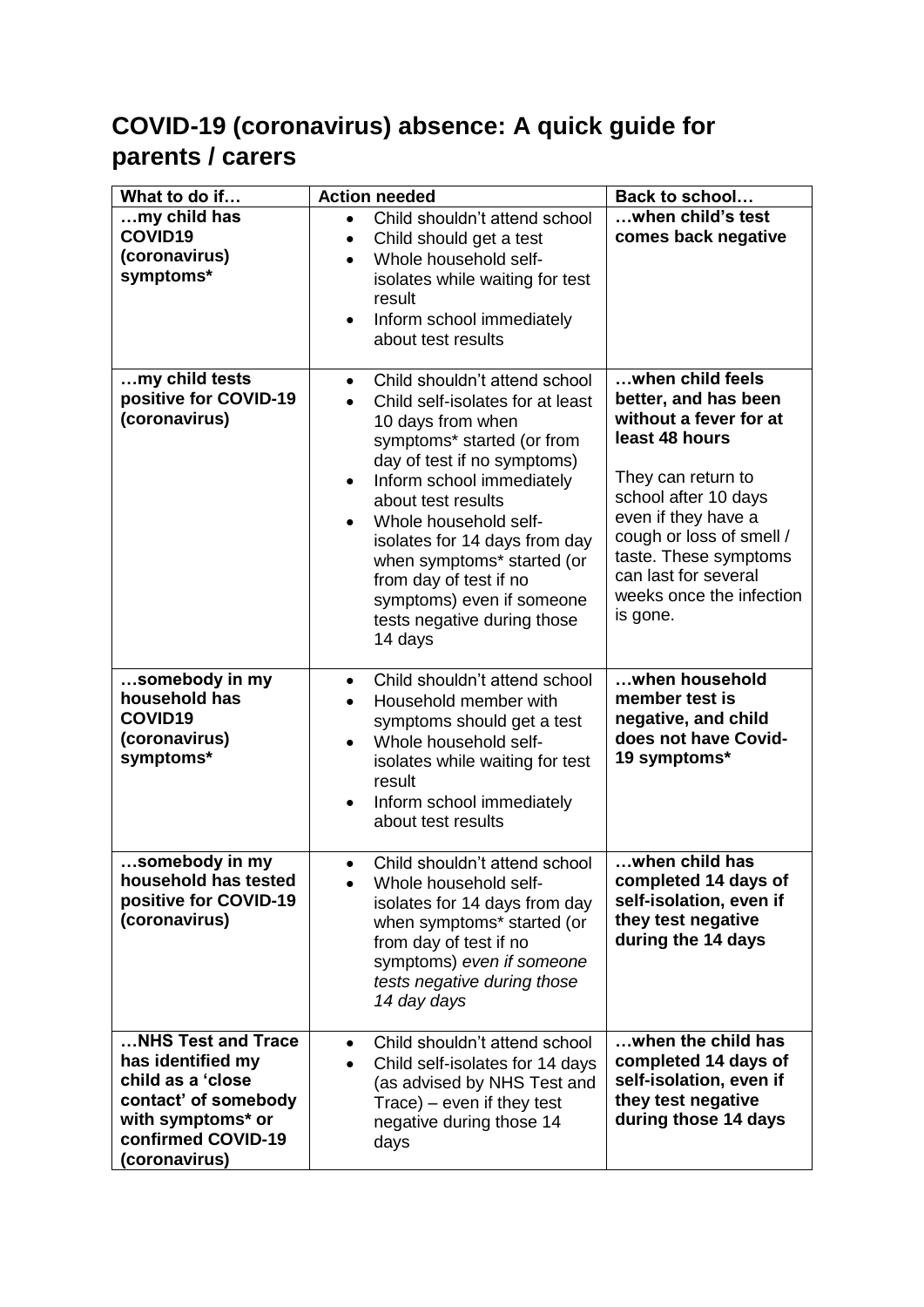# **COVID-19 (coronavirus) absence: A quick guide for parents / carers**

| What to do if                                                                                                                                    | <b>Action needed</b>                                                                                                                                                                                                                                                                                                                                                                                                                   | Back to school                                                                                                                                                                                                                                                                 |
|--------------------------------------------------------------------------------------------------------------------------------------------------|----------------------------------------------------------------------------------------------------------------------------------------------------------------------------------------------------------------------------------------------------------------------------------------------------------------------------------------------------------------------------------------------------------------------------------------|--------------------------------------------------------------------------------------------------------------------------------------------------------------------------------------------------------------------------------------------------------------------------------|
| my child has<br>COVID19<br>(coronavirus)<br>symptoms*                                                                                            | Child shouldn't attend school<br>$\bullet$<br>Child should get a test<br>$\bullet$<br>Whole household self-<br>$\bullet$<br>isolates while waiting for test<br>result<br>Inform school immediately<br>$\bullet$<br>about test results                                                                                                                                                                                                  | when child's test<br>comes back negative                                                                                                                                                                                                                                       |
| my child tests<br>positive for COVID-19<br>(coronavirus)                                                                                         | Child shouldn't attend school<br>$\bullet$<br>Child self-isolates for at least<br>10 days from when<br>symptoms* started (or from<br>day of test if no symptoms)<br>Inform school immediately<br>$\bullet$<br>about test results<br>Whole household self-<br>$\bullet$<br>isolates for 14 days from day<br>when symptoms* started (or<br>from day of test if no<br>symptoms) even if someone<br>tests negative during those<br>14 days | when child feels<br>better, and has been<br>without a fever for at<br>least 48 hours<br>They can return to<br>school after 10 days<br>even if they have a<br>cough or loss of smell /<br>taste. These symptoms<br>can last for several<br>weeks once the infection<br>is gone. |
| somebody in my<br>household has<br>COVID19<br>(coronavirus)<br>symptoms*                                                                         | Child shouldn't attend school<br>$\bullet$<br>Household member with<br>$\bullet$<br>symptoms should get a test<br>Whole household self-<br>$\bullet$<br>isolates while waiting for test<br>result<br>Inform school immediately<br>about test results                                                                                                                                                                                   | when household<br>member test is<br>negative, and child<br>does not have Covid-<br>19 symptoms*                                                                                                                                                                                |
| somebody in my<br>household has tested<br>positive for COVID-19<br>(coronavirus)                                                                 | Child shouldn't attend school<br>$\bullet$<br>Whole household self-<br>isolates for 14 days from day<br>when symptoms* started (or<br>from day of test if no<br>symptoms) even if someone<br>tests negative during those<br>14 day days                                                                                                                                                                                                | when child has<br>completed 14 days of<br>self-isolation, even if<br>they test negative<br>during the 14 days                                                                                                                                                                  |
| NHS Test and Trace<br>has identified my<br>child as a 'close<br>contact' of somebody<br>with symptoms* or<br>confirmed COVID-19<br>(coronavirus) | Child shouldn't attend school<br>$\bullet$<br>Child self-isolates for 14 days<br>(as advised by NHS Test and<br>$Trace$ ) – even if they test<br>negative during those 14<br>days                                                                                                                                                                                                                                                      | when the child has<br>completed 14 days of<br>self-isolation, even if<br>they test negative<br>during those 14 days                                                                                                                                                            |